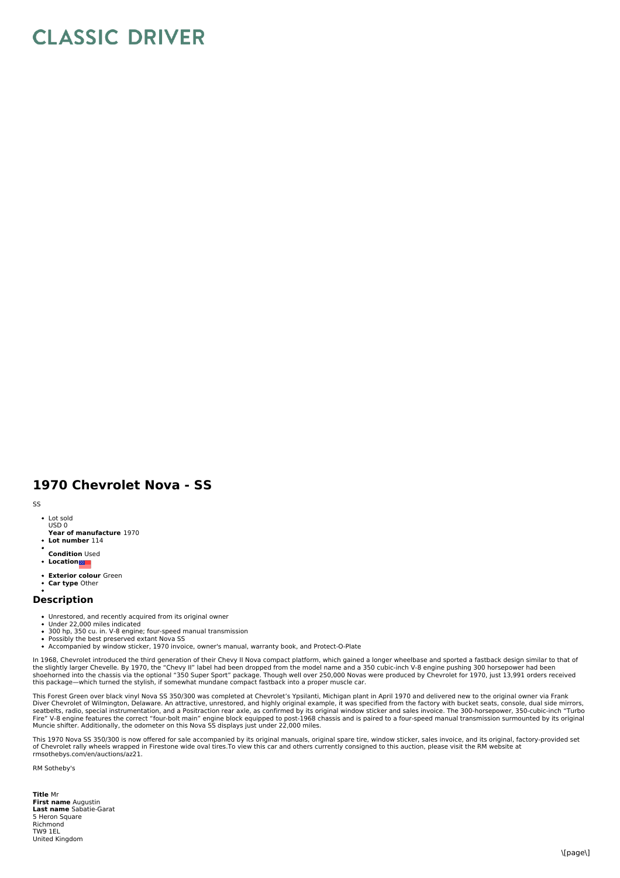## **CLASSIC DRIVER**

## **1970 Chevrolet Nova - SS**

## SS

- Lot sold USD 0
- **Year of manufacture** 1970 **Lot number** 114
- 
- **Condition** Used
- **Location**
- **Exterior colour** Green **Car type** Other

## **Description**

- Unrestored, and recently acquired from its original owner<br>Under 22,000 miles indicated
- 
- 300 hp, 350 cu. in. V-8 engine; four-speed manual transmission Possibly the best preserved extant Nova SS
- Accompanied by window sticker, 1970 invoice, owner's manual, warranty book, and Protect-O-Plate

In 1968, Chevrolet introduced the third generation of their Chevy II Nova compact platform, which gained a longer wheelbase and sported a fastback design similar to that of<br>the slightly larger Chevelle. By 1970, the "Chevy

This Forest Green over black vinyl Nova SS 350/300 was completed at Chevrolet's Ypsilanti, Michigan plant in April 1970 and delivered new to the original owner via Frank Diver Chevrolet of Wilmington, Delaware. An attractive, unrestored, and highly original example, it was specified from the factory with bucket seats, console, dual side mirrors,<br>Seatbelts, radio, special instrumentation, a

This 1970 Nova SS 350/300 is now offered for sale accompanied by its original manuals, original spare tire, window sticker, sales invoice, and its original, factory-provided set<br>of Chevrolet rally wheels wrapped in Firesto rmsothebys.com/en/auctions/az21.

RM Sotheby's

**Title** Mr **First name** Augustin **Last name** Sabatie-Garat East name Sub Richmond TW9 1EL United Kingdom